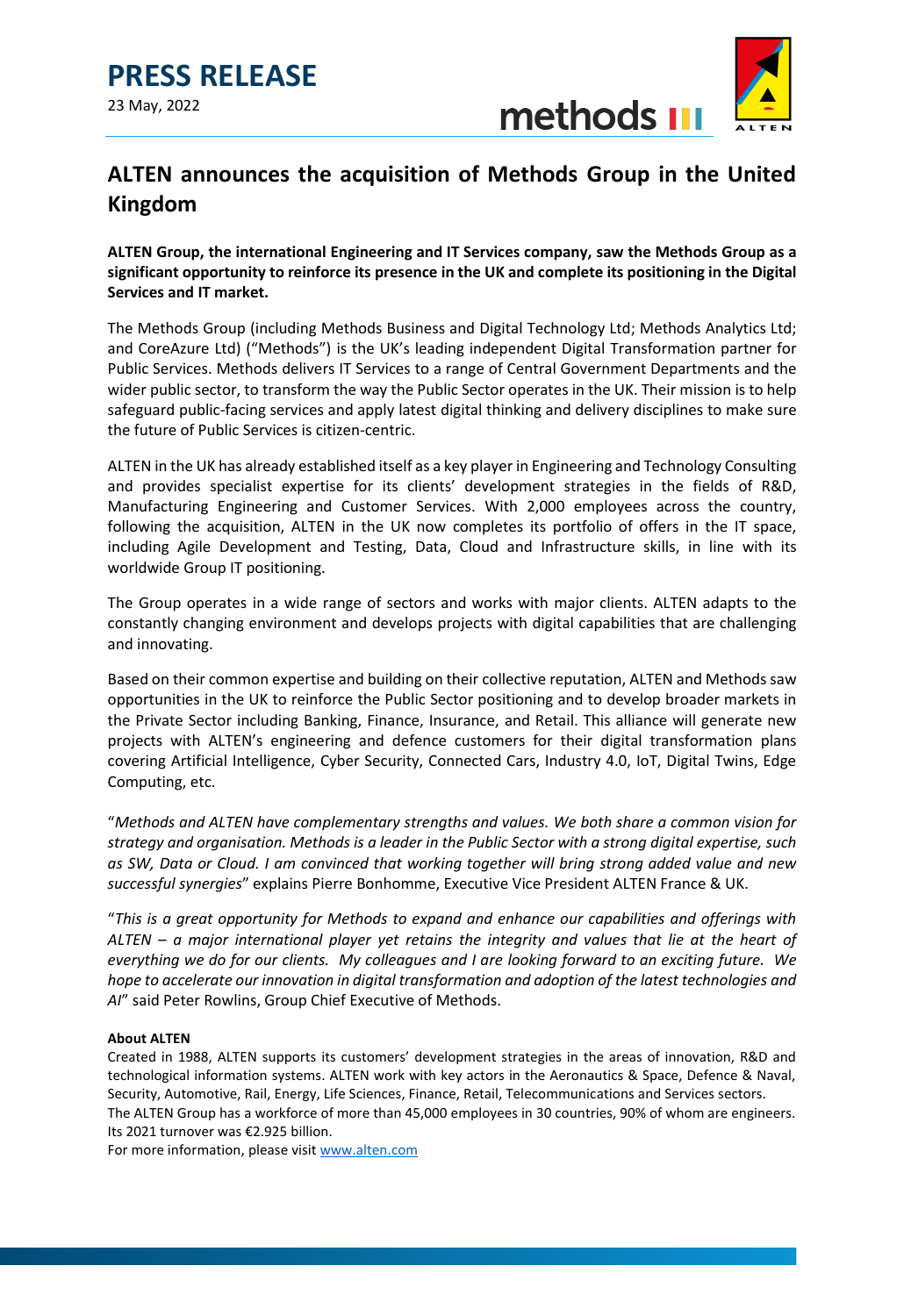



## **ALTEN announces the acquisition of Methods Group in the United Kingdom**

**ALTEN Group, the international Engineering and IT Services company, saw the Methods Group as a significant opportunity to reinforce its presence in the UK and complete its positioning in the Digital Services and IT market.** 

The Methods Group (including Methods Business and Digital Technology Ltd; Methods Analytics Ltd; and CoreAzure Ltd) ("Methods") is the UK's leading independent Digital Transformation partner for Public Services. Methods delivers IT Services to a range of Central Government Departments and the wider public sector, to transform the way the Public Sector operates in the UK. Their mission is to help safeguard public-facing services and apply latest digital thinking and delivery disciplines to make sure the future of Public Services is citizen-centric.

ALTEN in the UK has already established itself as a key player in Engineering and Technology Consulting and provides specialist expertise for its clients' development strategies in the fields of R&D, Manufacturing Engineering and Customer Services. With 2,000 employees across the country, following the acquisition, ALTEN in the UK now completes its portfolio of offers in the IT space, including Agile Development and Testing, Data, Cloud and Infrastructure skills, in line with its worldwide Group IT positioning.

The Group operates in a wide range of sectors and works with major clients. ALTEN adapts to the constantly changing environment and develops projects with digital capabilities that are challenging and innovating.

Based on their common expertise and building on their collective reputation, ALTEN and Methods saw opportunities in the UK to reinforce the Public Sector positioning and to develop broader markets in the Private Sector including Banking, Finance, Insurance, and Retail. This alliance will generate new projects with ALTEN's engineering and defence customers for their digital transformation plans covering Artificial Intelligence, Cyber Security, Connected Cars, Industry 4.0, IoT, Digital Twins, Edge Computing, etc.

"*Methods and ALTEN have complementary strengths and values. We both share a common vision for strategy and organisation. Methods is a leader in the Public Sector with a strong digital expertise, such as SW, Data or Cloud. I am convinced that working together will bring strong added value and new successful synergies*" explains Pierre Bonhomme, Executive Vice President ALTEN France & UK.

"*This is a great opportunity for Methods to expand and enhance our capabilities and offerings with ALTEN – a major international player yet retains the integrity and values that lie at the heart of everything we do for our clients. My colleagues and I are looking forward to an exciting future. We hope to accelerate our innovation in digital transformation and adoption of the latest technologies and AI*" said Peter Rowlins, Group Chief Executive of Methods.

### **About ALTEN**

Created in 1988, ALTEN supports its customers' development strategies in the areas of innovation, R&D and technological information systems. ALTEN work with key actors in the Aeronautics & Space, Defence & Naval, Security, Automotive, Rail, Energy, Life Sciences, Finance, Retail, Telecommunications and Services sectors. The ALTEN Group has a workforce of more than 45,000 employees in 30 countries, 90% of whom are engineers. Its 2021 turnover was €2.925 billion.

For more information, please visi[t www.alten.com](file://///HERMIONE/Groupsrep$/Alten/Communication_Alten/02.%20COMMUNICATION%20CORPORATE/5%20-%20RELATIONS%20PRESSE/1%20-%20COMMUNIQUES%20DE%20PRESSE/2022/Methods/www.alten.com)